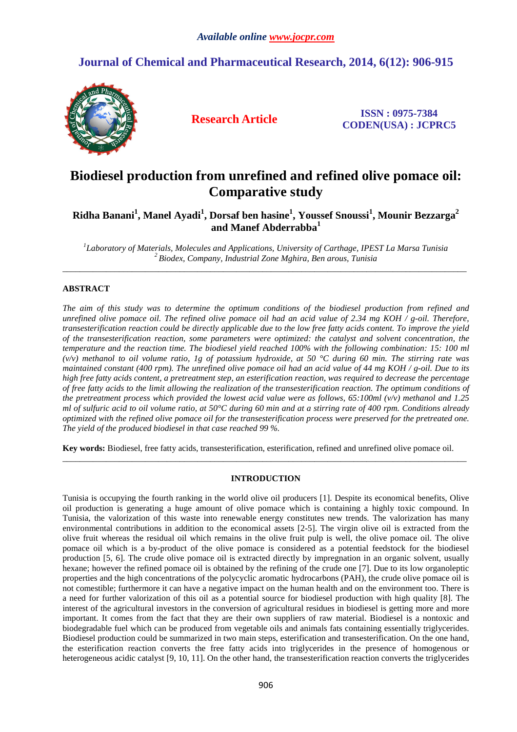## **Journal of Chemical and Pharmaceutical Research, 2014, 6(12): 906-915**



**Research Article ISSN : 0975-7384 CODEN(USA) : JCPRC5**

# **Biodiesel production from unrefined and refined olive pomace oil: Comparative study**

**Ridha Banani<sup>1</sup> , Manel Ayadi<sup>1</sup> , Dorsaf ben hasine<sup>1</sup> , Youssef Snoussi<sup>1</sup> , Mounir Bezzarga<sup>2</sup> and Manef Abderrabba<sup>1</sup>**

*1 Laboratory of Materials, Molecules and Applications, University of Carthage, IPEST La Marsa Tunisia <sup>2</sup>Biodex, Company, Industrial Zone Mghira, Ben arous, Tunisia*  \_\_\_\_\_\_\_\_\_\_\_\_\_\_\_\_\_\_\_\_\_\_\_\_\_\_\_\_\_\_\_\_\_\_\_\_\_\_\_\_\_\_\_\_\_\_\_\_\_\_\_\_\_\_\_\_\_\_\_\_\_\_\_\_\_\_\_\_\_\_\_\_\_\_\_\_\_\_\_\_\_\_\_\_\_\_\_\_\_\_\_\_\_

## **ABSTRACT**

*The aim of this study was to determine the optimum conditions of the biodiesel production from refined and unrefined olive pomace oil. The refined olive pomace oil had an acid value of 2.34 mg KOH / g-oil. Therefore, transesterification reaction could be directly applicable due to the low free fatty acids content. To improve the yield of the transesterification reaction, some parameters were optimized: the catalyst and solvent concentration, the temperature and the reaction time. The biodiesel yield reached 100% with the following combination: 15: 100 ml (v/v) methanol to oil volume ratio, 1g of potassium hydroxide, at 50 °C during 60 min. The stirring rate was maintained constant (400 rpm). The unrefined olive pomace oil had an acid value of 44 mg KOH / g-oil. Due to its high free fatty acids content, a pretreatment step, an esterification reaction, was required to decrease the percentage of free fatty acids to the limit allowing the realization of the transesterification reaction. The optimum conditions of the pretreatment process which provided the lowest acid value were as follows, 65:100ml (v/v) methanol and 1.25 ml of sulfuric acid to oil volume ratio, at 50°C during 60 min and at a stirring rate of 400 rpm. Conditions already optimized with the refined olive pomace oil for the transesterification process were preserved for the pretreated one. The yield of the produced biodiesel in that case reached 99 %.* 

**Key words:** Biodiesel, free fatty acids, transesterification, esterification, refined and unrefined olive pomace oil.

## **INTRODUCTION**

\_\_\_\_\_\_\_\_\_\_\_\_\_\_\_\_\_\_\_\_\_\_\_\_\_\_\_\_\_\_\_\_\_\_\_\_\_\_\_\_\_\_\_\_\_\_\_\_\_\_\_\_\_\_\_\_\_\_\_\_\_\_\_\_\_\_\_\_\_\_\_\_\_\_\_\_\_\_\_\_\_\_\_\_\_\_\_\_\_\_\_\_\_

Tunisia is occupying the fourth ranking in the world olive oil producers [1]. Despite its economical benefits, Olive oil production is generating a huge amount of olive pomace which is containing a highly toxic compound. In Tunisia, the valorization of this waste into renewable energy constitutes new trends. The valorization has many environmental contributions in addition to the economical assets [2-5]. The virgin olive oil is extracted from the olive fruit whereas the residual oil which remains in the olive fruit pulp is well, the olive pomace oil. The olive pomace oil which is a by-product of the olive pomace is considered as a potential feedstock for the biodiesel production [5, 6]. The crude olive pomace oil is extracted directly by impregnation in an organic solvent, usually hexane; however the refined pomace oil is obtained by the refining of the crude one [7]. Due to its low organoleptic properties and the high concentrations of the polycyclic aromatic hydrocarbons (PAH), the crude olive pomace oil is not comestible; furthermore it can have a negative impact on the human health and on the environment too. There is a need for further valorization of this oil as a potential source for biodiesel production with high quality [8]. The interest of the agricultural investors in the conversion of agricultural residues in biodiesel is getting more and more important. It comes from the fact that they are their own suppliers of raw material. Biodiesel is a nontoxic and biodegradable fuel which can be produced from vegetable oils and animals fats containing essentially triglycerides. Biodiesel production could be summarized in two main steps, esterification and transesterification. On the one hand, the esterification reaction converts the free fatty acids into triglycerides in the presence of homogenous or heterogeneous acidic catalyst [9, 10, 11]. On the other hand, the transesterification reaction converts the triglycerides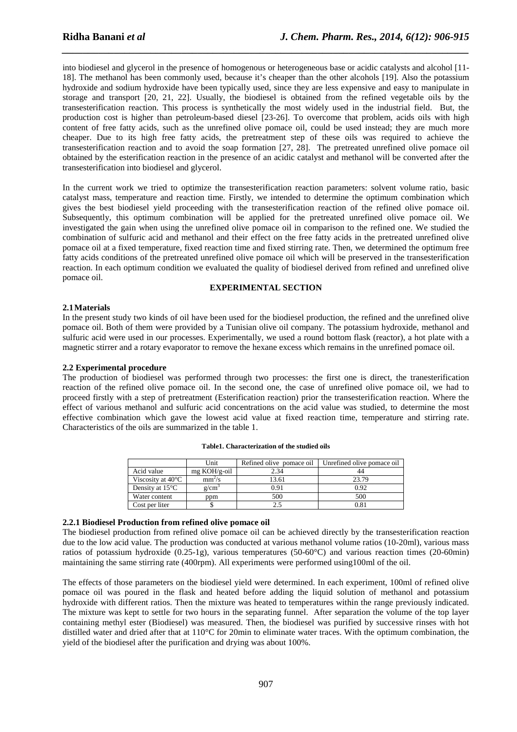into biodiesel and glycerol in the presence of homogenous or heterogeneous base or acidic catalysts and alcohol [11- 18]. The methanol has been commonly used, because it's cheaper than the other alcohols [19]. Also the potassium hydroxide and sodium hydroxide have been typically used, since they are less expensive and easy to manipulate in storage and transport [20, 21, 22]. Usually, the biodiesel is obtained from the refined vegetable oils by the transesterification reaction. This process is synthetically the most widely used in the industrial field. But, the production cost is higher than petroleum-based diesel [23-26]. To overcome that problem, acids oils with high content of free fatty acids, such as the unrefined olive pomace oil, could be used instead; they are much more cheaper. Due to its high free fatty acids, the pretreatment step of these oils was required to achieve the transesterification reaction and to avoid the soap formation [27, 28]. The pretreated unrefined olive pomace oil obtained by the esterification reaction in the presence of an acidic catalyst and methanol will be converted after the transesterification into biodiesel and glycerol.

*\_\_\_\_\_\_\_\_\_\_\_\_\_\_\_\_\_\_\_\_\_\_\_\_\_\_\_\_\_\_\_\_\_\_\_\_\_\_\_\_\_\_\_\_\_\_\_\_\_\_\_\_\_\_\_\_\_\_\_\_\_\_\_\_\_\_\_\_\_\_\_\_\_\_\_\_\_\_*

In the current work we tried to optimize the transesterification reaction parameters: solvent volume ratio, basic catalyst mass, temperature and reaction time. Firstly, we intended to determine the optimum combination which gives the best biodiesel yield proceeding with the transesterification reaction of the refined olive pomace oil. Subsequently, this optimum combination will be applied for the pretreated unrefined olive pomace oil. We investigated the gain when using the unrefined olive pomace oil in comparison to the refined one. We studied the combination of sulfuric acid and methanol and their effect on the free fatty acids in the pretreated unrefined olive pomace oil at a fixed temperature, fixed reaction time and fixed stirring rate. Then, we determined the optimum free fatty acids conditions of the pretreated unrefined olive pomace oil which will be preserved in the transesterification reaction. In each optimum condition we evaluated the quality of biodiesel derived from refined and unrefined olive pomace oil.

#### **EXPERIMENTAL SECTION**

## **2.1Materials**

In the present study two kinds of oil have been used for the biodiesel production, the refined and the unrefined olive pomace oil. Both of them were provided by a Tunisian olive oil company. The potassium hydroxide, methanol and sulfuric acid were used in our processes. Experimentally, we used a round bottom flask (reactor), a hot plate with a magnetic stirrer and a rotary evaporator to remove the hexane excess which remains in the unrefined pomace oil.

## **2.2 Experimental procedure**

The production of biodiesel was performed through two processes: the first one is direct, the tranesterification reaction of the refined olive pomace oil. In the second one, the case of unrefined olive pomace oil, we had to proceed firstly with a step of pretreatment (Esterification reaction) prior the transesterification reaction. Where the effect of various methanol and sulfuric acid concentrations on the acid value was studied, to determine the most effective combination which gave the lowest acid value at fixed reaction time, temperature and stirring rate. Characteristics of the oils are summarized in the table 1.

|                             | Unit                   | Refined olive pomace oil | Unrefined olive pomace oil |
|-----------------------------|------------------------|--------------------------|----------------------------|
| Acid value                  | $mg \text{ KOH/g-oil}$ | 2.34                     |                            |
| Viscosity at $40^{\circ}$ C | mm <sup>2</sup> /s     | 13.61                    | 23.79                      |
| Density at $15^{\circ}$ C   | g/cm                   | 0.91                     | 0.92                       |
| Water content               | ppm                    | 500                      | 500                        |
| Cost per liter              |                        | 2.5                      | 0.81                       |

**Table1. Characterization of the studied oils** 

## **2.2.1 Biodiesel Production from refined olive pomace oil**

The biodiesel production from refined olive pomace oil can be achieved directly by the transesterification reaction due to the low acid value. The production was conducted at various methanol volume ratios (10-20ml), various mass ratios of potassium hydroxide (0.25-1g), various temperatures (50-60°C) and various reaction times (20-60min) maintaining the same stirring rate (400rpm). All experiments were performed using100ml of the oil.

The effects of those parameters on the biodiesel yield were determined. In each experiment, 100ml of refined olive pomace oil was poured in the flask and heated before adding the liquid solution of methanol and potassium hydroxide with different ratios. Then the mixture was heated to temperatures within the range previously indicated. The mixture was kept to settle for two hours in the separating funnel. After separation the volume of the top layer containing methyl ester (Biodiesel) was measured. Then, the biodiesel was purified by successive rinses with hot distilled water and dried after that at 110°C for 20min to eliminate water traces. With the optimum combination, the yield of the biodiesel after the purification and drying was about 100%.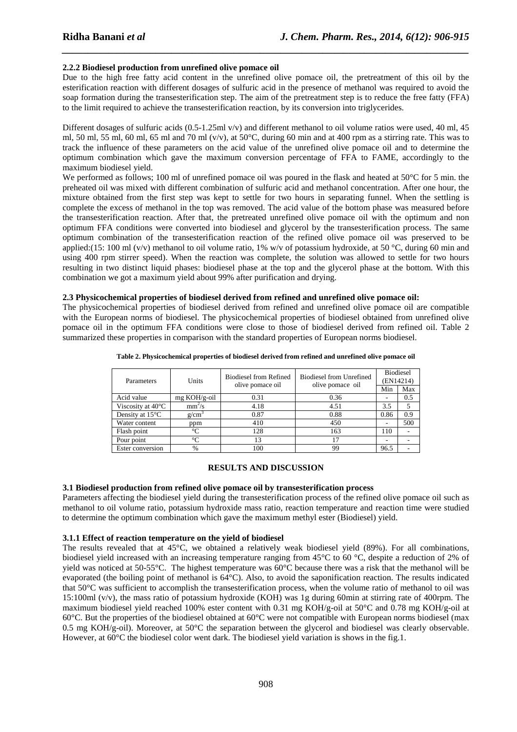## **2.2.2 Biodiesel production from unrefined olive pomace oil**

Due to the high free fatty acid content in the unrefined olive pomace oil, the pretreatment of this oil by the esterification reaction with different dosages of sulfuric acid in the presence of methanol was required to avoid the soap formation during the transesterification step. The aim of the pretreatment step is to reduce the free fatty (FFA) to the limit required to achieve the transesterification reaction, by its conversion into triglycerides.

*\_\_\_\_\_\_\_\_\_\_\_\_\_\_\_\_\_\_\_\_\_\_\_\_\_\_\_\_\_\_\_\_\_\_\_\_\_\_\_\_\_\_\_\_\_\_\_\_\_\_\_\_\_\_\_\_\_\_\_\_\_\_\_\_\_\_\_\_\_\_\_\_\_\_\_\_\_\_*

Different dosages of sulfuric acids (0.5-1.25ml v/v) and different methanol to oil volume ratios were used, 40 ml, 45 ml, 50 ml, 55 ml, 60 ml, 65 ml and 70 ml (v/v), at 50°C, during 60 min and at 400 rpm as a stirring rate. This was to track the influence of these parameters on the acid value of the unrefined olive pomace oil and to determine the optimum combination which gave the maximum conversion percentage of FFA to FAME, accordingly to the maximum biodiesel yield.

We performed as follows; 100 ml of unrefined pomace oil was poured in the flask and heated at 50<sup>o</sup>C for 5 min. the preheated oil was mixed with different combination of sulfuric acid and methanol concentration. After one hour, the mixture obtained from the first step was kept to settle for two hours in separating funnel. When the settling is complete the excess of methanol in the top was removed. The acid value of the bottom phase was measured before the transesterification reaction. After that, the pretreated unrefined olive pomace oil with the optimum and non optimum FFA conditions were converted into biodiesel and glycerol by the transesterification process. The same optimum combination of the transesterification reaction of the refined olive pomace oil was preserved to be applied:(15: 100 ml (v/v) methanol to oil volume ratio, 1% w/v of potassium hydroxide, at 50 °C, during 60 min and using 400 rpm stirrer speed). When the reaction was complete, the solution was allowed to settle for two hours resulting in two distinct liquid phases: biodiesel phase at the top and the glycerol phase at the bottom. With this combination we got a maximum yield about 99% after purification and drying.

## **2.3 Physicochemical properties of biodiesel derived from refined and unrefined olive pomace oil:**

The physicochemical properties of biodiesel derived from refined and unrefined olive pomace oil are compatible with the European norms of biodiesel. The physicochemical properties of biodiesel obtained from unrefined olive pomace oil in the optimum FFA conditions were close to those of biodiesel derived from refined oil. Table 2 summarized these properties in comparison with the standard properties of European norms biodiesel.

| Parameters                  | Units          | <b>Biodiesel from Refined</b><br>olive pomace oil | Biodiesel from Unrefined<br>olive pomace oil | <b>Biodiesel</b><br>(EN14214)<br>Min<br>Max |     |
|-----------------------------|----------------|---------------------------------------------------|----------------------------------------------|---------------------------------------------|-----|
| Acid value                  | $mg KOH/g-oil$ | 0.31                                              | 0.36                                         |                                             | 0.5 |
| Viscosity at $40^{\circ}$ C | $mm^2/s$       | 4.18                                              | 4.51                                         | 3.5                                         |     |
| Density at $15^{\circ}$ C   | $g/cm^{3}$     | 0.87                                              | 0.88                                         | 0.86                                        | 0.9 |
| Water content               | ppm            | 410                                               | 450                                          |                                             | 500 |
| Flash point                 | $^{\circ}C$    | 128                                               | 163                                          | 110                                         |     |
| Pour point                  | $^{\circ}C$    | 13                                                | 17                                           |                                             |     |
| Ester conversion            | $\frac{0}{6}$  | 100                                               | 99                                           | 96.5                                        |     |

**Table 2. Physicochemical properties of biodiesel derived from refined and unrefined olive pomace oil** 

#### **RESULTS AND DISCUSSION**

#### **3.1 Biodiesel production from refined olive pomace oil by transesterification process**

Parameters affecting the biodiesel yield during the transesterification process of the refined olive pomace oil such as methanol to oil volume ratio, potassium hydroxide mass ratio, reaction temperature and reaction time were studied to determine the optimum combination which gave the maximum methyl ester (Biodiesel) yield.

#### **3.1.1 Effect of reaction temperature on the yield of biodiesel**

The results revealed that at 45°C, we obtained a relatively weak biodiesel yield (89%). For all combinations, biodiesel yield increased with an increasing temperature ranging from 45°C to 60 °C, despite a reduction of 2% of yield was noticed at 50-55°C. The highest temperature was 60°C because there was a risk that the methanol will be evaporated (the boiling point of methanol is 64°C). Also, to avoid the saponification reaction. The results indicated that 50°C was sufficient to accomplish the transesterification process, when the volume ratio of methanol to oil was 15:100ml (v/v), the mass ratio of potassium hydroxide (KOH) was 1g during 60min at stirring rate of 400rpm. The maximum biodiesel yield reached 100% ester content with 0.31 mg KOH/g-oil at 50°C and 0.78 mg KOH/g-oil at 60°C. But the properties of the biodiesel obtained at 60°C were not compatible with European norms biodiesel (max 0.5 mg KOH/g-oil). Moreover, at 50°C the separation between the glycerol and biodiesel was clearly observable. However, at 60°C the biodiesel color went dark. The biodiesel yield variation is shows in the fig.1.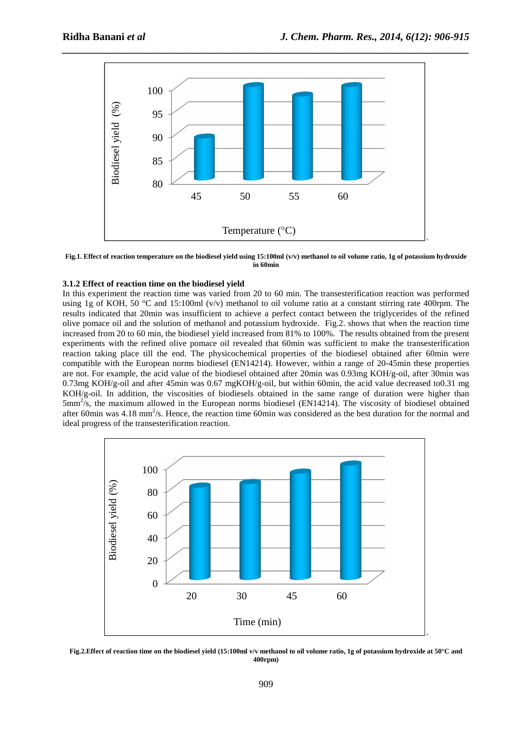

**Fig.1. Effect of reaction temperature on the biodiesel yield using 15:100ml (v/v) methanol to oil volume ratio, 1g of potassium hydroxide in 60min** 

## **3.1.2 Effect of reaction time on the biodiesel yield**

In this experiment the reaction time was varied from 20 to 60 min. The transesterification reaction was performed using 1g of KOH, 50 °C and 15:100ml (v/v) methanol to oil volume ratio at a constant stirring rate 400rpm. The results indicated that 20min was insufficient to achieve a perfect contact between the triglycerides of the refined olive pomace oil and the solution of methanol and potassium hydroxide. Fig.2. shows that when the reaction time increased from 20 to 60 min, the biodiesel yield increased from 81% to 100%. The results obtained from the present experiments with the refined olive pomace oil revealed that 60min was sufficient to make the transesterification reaction taking place till the end. The physicochemical properties of the biodiesel obtained after 60min were compatible with the European norms biodiesel (EN14214). However, within a range of 20-45min these properties are not. For example, the acid value of the biodiesel obtained after 20min was 0.93mg KOH/g-oil, after 30min was 0.73mg KOH/g-oil and after 45min was 0.67 mgKOH/g-oil, but within 60min, the acid value decreased to0.31 mg KOH/g-oil. In addition, the viscosities of biodiesels obtained in the same range of duration were higher than  $5mm^2/s$ , the maximum allowed in the European norms biodiesel (EN14214). The viscosity of biodiesel obtained after 60 $\text{min}$  was 4.18  $\text{mm}^2$ /s. Hence, the reaction time 60 $\text{min}$  was considered as the best duration for the normal and ideal progress of the transesterification reaction.



**Fig.2.Effect of reaction time on the biodiesel yield (15:100ml v/v methanol to oil volume ratio, 1g of potassium hydroxide at 50°C and 400rpm)**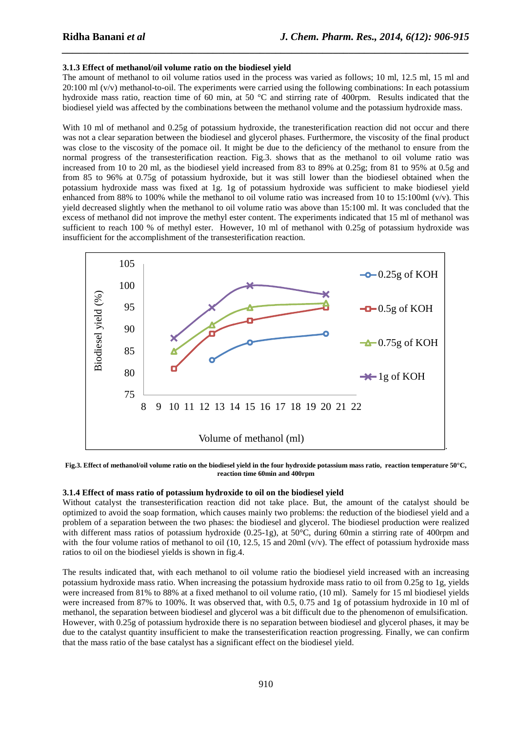## **3.1.3 Effect of methanol/oil volume ratio on the biodiesel yield**

The amount of methanol to oil volume ratios used in the process was varied as follows; 10 ml, 12.5 ml, 15 ml and  $20:100$  ml (v/v) methanol-to-oil. The experiments were carried using the following combinations: In each potassium hydroxide mass ratio, reaction time of 60 min, at 50 °C and stirring rate of 400rpm. Results indicated that the biodiesel yield was affected by the combinations between the methanol volume and the potassium hydroxide mass.

*\_\_\_\_\_\_\_\_\_\_\_\_\_\_\_\_\_\_\_\_\_\_\_\_\_\_\_\_\_\_\_\_\_\_\_\_\_\_\_\_\_\_\_\_\_\_\_\_\_\_\_\_\_\_\_\_\_\_\_\_\_\_\_\_\_\_\_\_\_\_\_\_\_\_\_\_\_\_*

With 10 ml of methanol and 0.25g of potassium hydroxide, the tranesterification reaction did not occur and there was not a clear separation between the biodiesel and glycerol phases. Furthermore, the viscosity of the final product was close to the viscosity of the pomace oil. It might be due to the deficiency of the methanol to ensure from the normal progress of the transesterification reaction. Fig.3. shows that as the methanol to oil volume ratio was increased from 10 to 20 ml, as the biodiesel yield increased from 83 to 89% at 0.25g; from 81 to 95% at 0.5g and from 85 to 96% at 0.75g of potassium hydroxide, but it was still lower than the biodiesel obtained when the potassium hydroxide mass was fixed at 1g. 1g of potassium hydroxide was sufficient to make biodiesel yield enhanced from 88% to 100% while the methanol to oil volume ratio was increased from 10 to 15:100ml  $(v/v)$ . This yield decreased slightly when the methanol to oil volume ratio was above than 15:100 ml. It was concluded that the excess of methanol did not improve the methyl ester content. The experiments indicated that 15 ml of methanol was sufficient to reach 100 % of methyl ester. However, 10 ml of methanol with 0.25g of potassium hydroxide was insufficient for the accomplishment of the transesterification reaction.



**Fig.3. Effect of methanol/oil volume ratio on the biodiesel yield in the four hydroxide potassium mass ratio, reaction temperature 50°C, reaction time 60min and 400rpm** 

## **3.1.4 Effect of mass ratio of potassium hydroxide to oil on the biodiesel yield**

Without catalyst the transesterification reaction did not take place. But, the amount of the catalyst should be optimized to avoid the soap formation, which causes mainly two problems: the reduction of the biodiesel yield and a problem of a separation between the two phases: the biodiesel and glycerol. The biodiesel production were realized with different mass ratios of potassium hydroxide (0.25-1g), at 50°C, during 60min a stirring rate of 400rpm and with the four volume ratios of methanol to oil (10, 12.5, 15 and 20ml  $(v/v)$ ). The effect of potassium hydroxide mass ratios to oil on the biodiesel yields is shown in fig.4.

The results indicated that, with each methanol to oil volume ratio the biodiesel yield increased with an increasing potassium hydroxide mass ratio. When increasing the potassium hydroxide mass ratio to oil from 0.25g to 1g, yields were increased from 81% to 88% at a fixed methanol to oil volume ratio, (10 ml). Samely for 15 ml biodiesel yields were increased from 87% to 100%. It was observed that, with 0.5, 0.75 and 1g of potassium hydroxide in 10 ml of methanol, the separation between biodiesel and glycerol was a bit difficult due to the phenomenon of emulsification. However, with 0.25g of potassium hydroxide there is no separation between biodiesel and glycerol phases, it may be due to the catalyst quantity insufficient to make the transesterification reaction progressing. Finally, we can confirm that the mass ratio of the base catalyst has a significant effect on the biodiesel yield.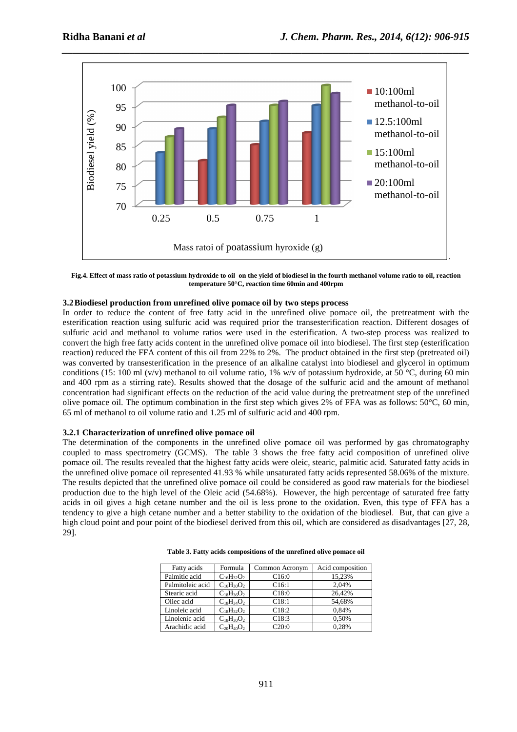

**Fig.4. Effect of mass ratio of potassium hydroxide to oil on the yield of biodiesel in the fourth methanol volume ratio to oil, reaction temperature 50°C, reaction time 60min and 400rpm** 

## **3.2Biodiesel production from unrefined olive pomace oil by two steps process**

In order to reduce the content of free fatty acid in the unrefined olive pomace oil, the pretreatment with the esterification reaction using sulfuric acid was required prior the transesterification reaction. Different dosages of sulfuric acid and methanol to volume ratios were used in the esterification. A two-step process was realized to convert the high free fatty acids content in the unrefined olive pomace oil into biodiesel. The first step (esterification reaction) reduced the FFA content of this oil from 22% to 2%. The product obtained in the first step (pretreated oil) was converted by transesterification in the presence of an alkaline catalyst into biodiesel and glycerol in optimum conditions (15: 100 ml (v/v) methanol to oil volume ratio, 1% w/v of potassium hydroxide, at 50 °C, during 60 min and 400 rpm as a stirring rate). Results showed that the dosage of the sulfuric acid and the amount of methanol concentration had significant effects on the reduction of the acid value during the pretreatment step of the unrefined olive pomace oil. The optimum combination in the first step which gives 2% of FFA was as follows: 50°C, 60 min, 65 ml of methanol to oil volume ratio and 1.25 ml of sulfuric acid and 400 rpm.

#### **3.2.1 Characterization of unrefined olive pomace oil**

The determination of the components in the unrefined olive pomace oil was performed by gas chromatography coupled to mass spectrometry (GCMS). The table 3 shows the free fatty acid composition of unrefined olive pomace oil. The results revealed that the highest fatty acids were oleic, stearic, palmitic acid. Saturated fatty acids in the unrefined olive pomace oil represented 41.93 % while unsaturated fatty acids represented 58.06% of the mixture. The results depicted that the unrefined olive pomace oil could be considered as good raw materials for the biodiesel production due to the high level of the Oleic acid (54.68%). However, the high percentage of saturated free fatty acids in oil gives a high cetane number and the oil is less prone to the oxidation. Even, this type of FFA has a tendency to give a high cetane number and a better stability to the oxidation of the biodiesel. But, that can give a high cloud point and pour point of the biodiesel derived from this oil, which are considered as disadvantages [27, 28, 29].

| Fatty acids      | Formula           | Common Acronym | Acid composition |
|------------------|-------------------|----------------|------------------|
| Palmitic acid    | $C_{16}H_{32}O_2$ | C16:0          | 15,23%           |
| Palmitoleic acid | $C_{16}H_{30}O_2$ | C16:1          | 2.04%            |
| Stearic acid     | $C_{18}H_{36}O_2$ | C18:0          | 26.42%           |
| Oliec acid       | $C_{18}H_{34}O_2$ | C18:1          | 54,68%           |
| Linoleic acid    | $C_{18}H_{32}O_2$ | C18:2          | 0.84%            |
| Linolenic acid   | $C_{18}H_{30}O_2$ | C18:3          | 0,50%            |
| Arachidic acid   | $C_{20}H_{40}O_2$ | C20:0          | 0.28%            |

**Table 3. Fatty acids compositions of the unrefined olive pomace oil**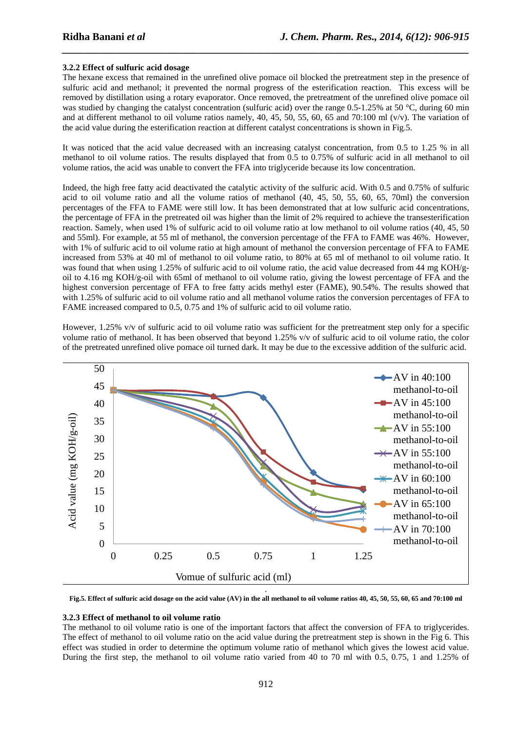#### **3.2.2 Effect of sulfuric acid dosage**

The hexane excess that remained in the unrefined olive pomace oil blocked the pretreatment step in the presence of sulfuric acid and methanol; it prevented the normal progress of the esterification reaction. This excess will be removed by distillation using a rotary evaporator. Once removed, the pretreatment of the unrefined olive pomace oil was studied by changing the catalyst concentration (sulfuric acid) over the range 0.5-1.25% at 50 °C, during 60 min and at different methanol to oil volume ratios namely, 40, 45, 50, 55, 60, 65 and 70:100 ml (v/v). The variation of the acid value during the esterification reaction at different catalyst concentrations is shown in Fig.5.

*\_\_\_\_\_\_\_\_\_\_\_\_\_\_\_\_\_\_\_\_\_\_\_\_\_\_\_\_\_\_\_\_\_\_\_\_\_\_\_\_\_\_\_\_\_\_\_\_\_\_\_\_\_\_\_\_\_\_\_\_\_\_\_\_\_\_\_\_\_\_\_\_\_\_\_\_\_\_*

It was noticed that the acid value decreased with an increasing catalyst concentration, from 0.5 to 1.25 % in all methanol to oil volume ratios. The results displayed that from 0.5 to 0.75% of sulfuric acid in all methanol to oil volume ratios, the acid was unable to convert the FFA into triglyceride because its low concentration.

Indeed, the high free fatty acid deactivated the catalytic activity of the sulfuric acid. With 0.5 and 0.75% of sulfuric acid to oil volume ratio and all the volume ratios of methanol (40, 45, 50, 55, 60, 65, 70ml) the conversion percentages of the FFA to FAME were still low. It has been demonstrated that at low sulfuric acid concentrations, the percentage of FFA in the pretreated oil was higher than the limit of 2% required to achieve the transesterification reaction. Samely, when used 1% of sulfuric acid to oil volume ratio at low methanol to oil volume ratios (40, 45, 50 and 55ml). For example, at 55 ml of methanol, the conversion percentage of the FFA to FAME was 46%. However, with 1% of sulfuric acid to oil volume ratio at high amount of methanol the conversion percentage of FFA to FAME increased from 53% at 40 ml of methanol to oil volume ratio, to 80% at 65 ml of methanol to oil volume ratio. It was found that when using 1.25% of sulfuric acid to oil volume ratio, the acid value decreased from 44 mg KOH/goil to 4.16 mg KOH/g-oil with 65ml of methanol to oil volume ratio, giving the lowest percentage of FFA and the highest conversion percentage of FFA to free fatty acids methyl ester (FAME), 90.54%. The results showed that with 1.25% of sulfuric acid to oil volume ratio and all methanol volume ratios the conversion percentages of FFA to FAME increased compared to 0.5, 0.75 and 1% of sulfuric acid to oil volume ratio.

However, 1.25% v/v of sulfuric acid to oil volume ratio was sufficient for the pretreatment step only for a specific volume ratio of methanol. It has been observed that beyond 1.25% v/v of sulfuric acid to oil volume ratio, the color of the pretreated unrefined olive pomace oil turned dark. It may be due to the excessive addition of the sulfuric acid.



**Fig.5. Effect of sulfuric acid dosage on the acid value (AV) in the all methanol to oil volume ratios 40, 45, 50, 55, 60, 65 and 70:100 ml** 

#### **3.2.3 Effect of methanol to oil volume ratio**

The methanol to oil volume ratio is one of the important factors that affect the conversion of FFA to triglycerides. The effect of methanol to oil volume ratio on the acid value during the pretreatment step is shown in the Fig 6. This effect was studied in order to determine the optimum volume ratio of methanol which gives the lowest acid value. During the first step, the methanol to oil volume ratio varied from 40 to 70 ml with 0.5, 0.75, 1 and 1.25% of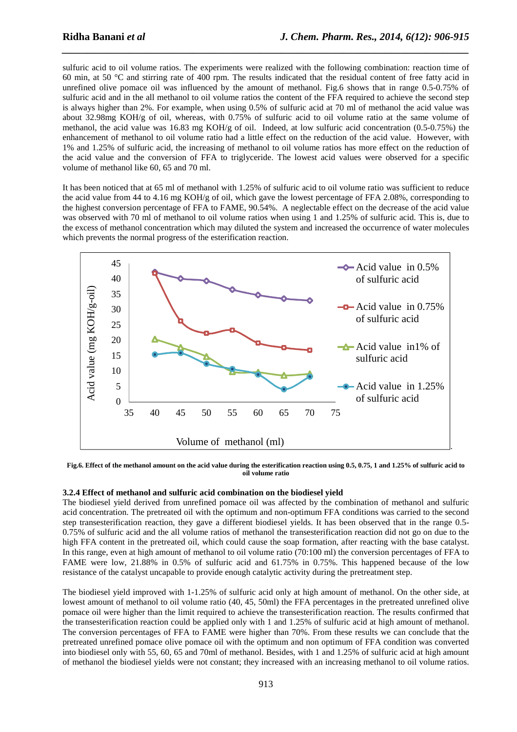sulfuric acid to oil volume ratios. The experiments were realized with the following combination: reaction time of 60 min, at 50 °C and stirring rate of 400 rpm. The results indicated that the residual content of free fatty acid in unrefined olive pomace oil was influenced by the amount of methanol. Fig.6 shows that in range 0.5-0.75% of sulfuric acid and in the all methanol to oil volume ratios the content of the FFA required to achieve the second step is always higher than 2%. For example, when using 0.5% of sulfuric acid at 70 ml of methanol the acid value was about 32.98mg KOH/g of oil, whereas, with 0.75% of sulfuric acid to oil volume ratio at the same volume of methanol, the acid value was 16.83 mg  $KOH/g$  of oil. Indeed, at low sulfuric acid concentration (0.5-0.75%) the enhancement of methanol to oil volume ratio had a little effect on the reduction of the acid value. However, with 1% and 1.25% of sulfuric acid, the increasing of methanol to oil volume ratios has more effect on the reduction of the acid value and the conversion of FFA to triglyceride. The lowest acid values were observed for a specific volume of methanol like 60, 65 and 70 ml.

*\_\_\_\_\_\_\_\_\_\_\_\_\_\_\_\_\_\_\_\_\_\_\_\_\_\_\_\_\_\_\_\_\_\_\_\_\_\_\_\_\_\_\_\_\_\_\_\_\_\_\_\_\_\_\_\_\_\_\_\_\_\_\_\_\_\_\_\_\_\_\_\_\_\_\_\_\_\_*

It has been noticed that at 65 ml of methanol with 1.25% of sulfuric acid to oil volume ratio was sufficient to reduce the acid value from 44 to 4.16 mg KOH/g of oil, which gave the lowest percentage of FFA 2.08%, corresponding to the highest conversion percentage of FFA to FAME, 90.54%. A neglectable effect on the decrease of the acid value was observed with 70 ml of methanol to oil volume ratios when using 1 and 1.25% of sulfuric acid. This is, due to the excess of methanol concentration which may diluted the system and increased the occurrence of water molecules which prevents the normal progress of the esterification reaction.



**Fig.6. Effect of the methanol amount on the acid value during the esterification reaction using 0.5, 0.75, 1 and 1.25% of sulfuric acid to oil volume ratio** 

## **3.2.4 Effect of methanol and sulfuric acid combination on the biodiesel yield**

The biodiesel yield derived from unrefined pomace oil was affected by the combination of methanol and sulfuric acid concentration. The pretreated oil with the optimum and non-optimum FFA conditions was carried to the second step transesterification reaction, they gave a different biodiesel yields. It has been observed that in the range 0.5- 0.75% of sulfuric acid and the all volume ratios of methanol the transesterification reaction did not go on due to the high FFA content in the pretreated oil, which could cause the soap formation, after reacting with the base catalyst. In this range, even at high amount of methanol to oil volume ratio (70:100 ml) the conversion percentages of FFA to FAME were low, 21.88% in 0.5% of sulfuric acid and 61.75% in 0.75%. This happened because of the low resistance of the catalyst uncapable to provide enough catalytic activity during the pretreatment step.

The biodiesel yield improved with 1-1.25% of sulfuric acid only at high amount of methanol. On the other side, at lowest amount of methanol to oil volume ratio (40, 45, 50ml) the FFA percentages in the pretreated unrefined olive pomace oil were higher than the limit required to achieve the transesterification reaction. The results confirmed that the transesterification reaction could be applied only with 1 and 1.25% of sulfuric acid at high amount of methanol. The conversion percentages of FFA to FAME were higher than 70%. From these results we can conclude that the pretreated unrefined pomace olive pomace oil with the optimum and non optimum of FFA condition was converted into biodiesel only with 55, 60, 65 and 70ml of methanol. Besides, with 1 and 1.25% of sulfuric acid at high amount of methanol the biodiesel yields were not constant; they increased with an increasing methanol to oil volume ratios.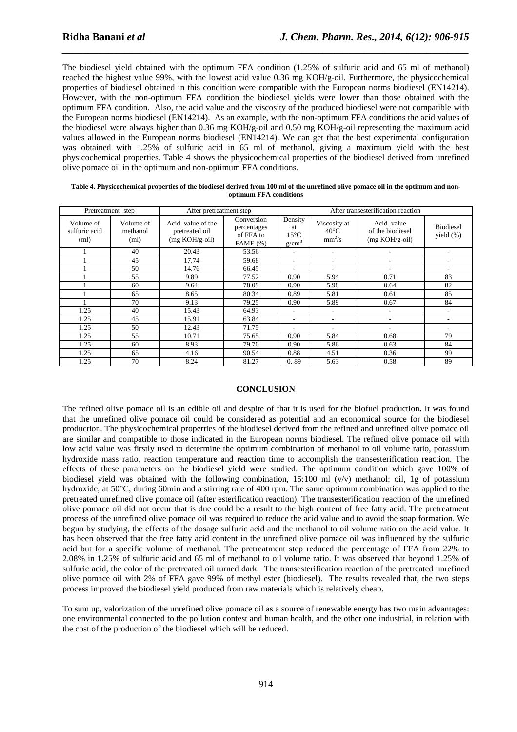The biodiesel yield obtained with the optimum FFA condition (1.25% of sulfuric acid and 65 ml of methanol) reached the highest value 99%, with the lowest acid value 0.36 mg KOH/g-oil. Furthermore, the physicochemical properties of biodiesel obtained in this condition were compatible with the European norms biodiesel (EN14214). However, with the non-optimum FFA condition the biodiesel yields were lower than those obtained with the optimum FFA condition. Also, the acid value and the viscosity of the produced biodiesel were not compatible with the European norms biodiesel (EN14214). As an example, with the non-optimum FFA conditions the acid values of the biodiesel were always higher than 0.36 mg KOH/g-oil and 0.50 mg KOH/g-oil representing the maximum acid values allowed in the European norms biodiesel (EN14214). We can get that the best experimental configuration was obtained with 1.25% of sulfuric acid in 65 ml of methanol, giving a maximum yield with the best physicochemical properties. Table 4 shows the physicochemical properties of the biodiesel derived from unrefined olive pomace oil in the optimum and non-optimum FFA conditions.

*\_\_\_\_\_\_\_\_\_\_\_\_\_\_\_\_\_\_\_\_\_\_\_\_\_\_\_\_\_\_\_\_\_\_\_\_\_\_\_\_\_\_\_\_\_\_\_\_\_\_\_\_\_\_\_\_\_\_\_\_\_\_\_\_\_\_\_\_\_\_\_\_\_\_\_\_\_\_*

| Table 4. Physicochemical properties of the biodiesel derived from 100 ml of the unrefined olive pomace oil in the optimum and non- |
|------------------------------------------------------------------------------------------------------------------------------------|
| optimum FFA conditions                                                                                                             |

| Pretreatment step                  |                               | After pretreatment step                                 |                                                        | After transesterification reaction                   |                                            |                                                    |                                   |
|------------------------------------|-------------------------------|---------------------------------------------------------|--------------------------------------------------------|------------------------------------------------------|--------------------------------------------|----------------------------------------------------|-----------------------------------|
| Volume of<br>sulfuric acid<br>(ml) | Volume of<br>methanol<br>(ml) | Acid value of the<br>pretreated oil<br>$(mg KOH/g-oil)$ | Conversion<br>percentages<br>of FFA to<br>FAME $(\% )$ | Density<br>at<br>$15^{\circ}$ C<br>g/cm <sup>3</sup> | Viscosity at<br>$40^{\circ}$ C<br>$mm^2/s$ | Acid value<br>of the biodiesel<br>$(mg KOH/g-oil)$ | <b>Biodiesel</b><br>yield $(\% )$ |
|                                    | 40                            | 20.43                                                   | 53.56                                                  | ۰.                                                   | ٠                                          |                                                    |                                   |
|                                    | 45                            | 17.74                                                   | 59.68                                                  | ۰.                                                   |                                            |                                                    | ٠                                 |
|                                    | 50                            | 14.76                                                   | 66.45                                                  | $\overline{\phantom{a}}$                             |                                            |                                                    |                                   |
|                                    | 55                            | 9.89                                                    | 77.52                                                  | 0.90                                                 | 5.94                                       | 0.71                                               | 83                                |
|                                    | 60                            | 9.64                                                    | 78.09                                                  | 0.90                                                 | 5.98                                       | 0.64                                               | 82                                |
|                                    | 65                            | 8.65                                                    | 80.34                                                  | 0.89                                                 | 5.81                                       | 0.61                                               | 85                                |
|                                    | 70                            | 9.13                                                    | 79.25                                                  | 0.90                                                 | 5.89                                       | 0.67                                               | 84                                |
| 1.25                               | 40                            | 15.43                                                   | 64.93                                                  | $\overline{\phantom{a}}$                             | $\overline{\phantom{a}}$                   |                                                    | ٠                                 |
| 1.25                               | 45                            | 15.91                                                   | 63.84                                                  | $\overline{\phantom{a}}$                             | ۰                                          |                                                    |                                   |
| 1.25                               | 50                            | 12.43                                                   | 71.75                                                  | $\overline{\phantom{a}}$                             | ۰                                          |                                                    |                                   |
| 1.25                               | 55                            | 10.71                                                   | 75.65                                                  | 0.90                                                 | 5.84                                       | 0.68                                               | 79                                |
| 1.25                               | 60                            | 8.93                                                    | 79.70                                                  | 0.90                                                 | 5.86                                       | 0.63                                               | 84                                |
| 1.25                               | 65                            | 4.16                                                    | 90.54                                                  | 0.88                                                 | 4.51                                       | 0.36                                               | 99                                |
| 1.25                               | 70                            | 8.24                                                    | 81.27                                                  | 0.89                                                 | 5.63                                       | 0.58                                               | 89                                |

## **CONCLUSION**

The refined olive pomace oil is an edible oil and despite of that it is used for the biofuel production**.** It was found that the unrefined olive pomace oil could be considered as potential and an economical source for the biodiesel production. The physicochemical properties of the biodiesel derived from the refined and unrefined olive pomace oil are similar and compatible to those indicated in the European norms biodiesel. The refined olive pomace oil with low acid value was firstly used to determine the optimum combination of methanol to oil volume ratio, potassium hydroxide mass ratio, reaction temperature and reaction time to accomplish the transesterification reaction. The effects of these parameters on the biodiesel yield were studied. The optimum condition which gave 100% of biodiesel yield was obtained with the following combination, 15:100 ml (v/v) methanol: oil, 1g of potassium hydroxide, at 50°C, during 60min and a stirring rate of 400 rpm. The same optimum combination was applied to the pretreated unrefined olive pomace oil (after esterification reaction). The transesterification reaction of the unrefined olive pomace oil did not occur that is due could be a result to the high content of free fatty acid. The pretreatment process of the unrefined olive pomace oil was required to reduce the acid value and to avoid the soap formation. We begun by studying, the effects of the dosage sulfuric acid and the methanol to oil volume ratio on the acid value. It has been observed that the free fatty acid content in the unrefined olive pomace oil was influenced by the sulfuric acid but for a specific volume of methanol. The pretreatment step reduced the percentage of FFA from 22% to 2.08% in 1.25% of sulfuric acid and 65 ml of methanol to oil volume ratio. It was observed that beyond 1.25% of sulfuric acid, the color of the pretreated oil turned dark. The transesterification reaction of the pretreated unrefined olive pomace oil with 2% of FFA gave 99% of methyl ester (biodiesel). The results revealed that, the two steps process improved the biodiesel yield produced from raw materials which is relatively cheap.

To sum up, valorization of the unrefined olive pomace oil as a source of renewable energy has two main advantages: one environmental connected to the pollution contest and human health, and the other one industrial, in relation with the cost of the production of the biodiesel which will be reduced.